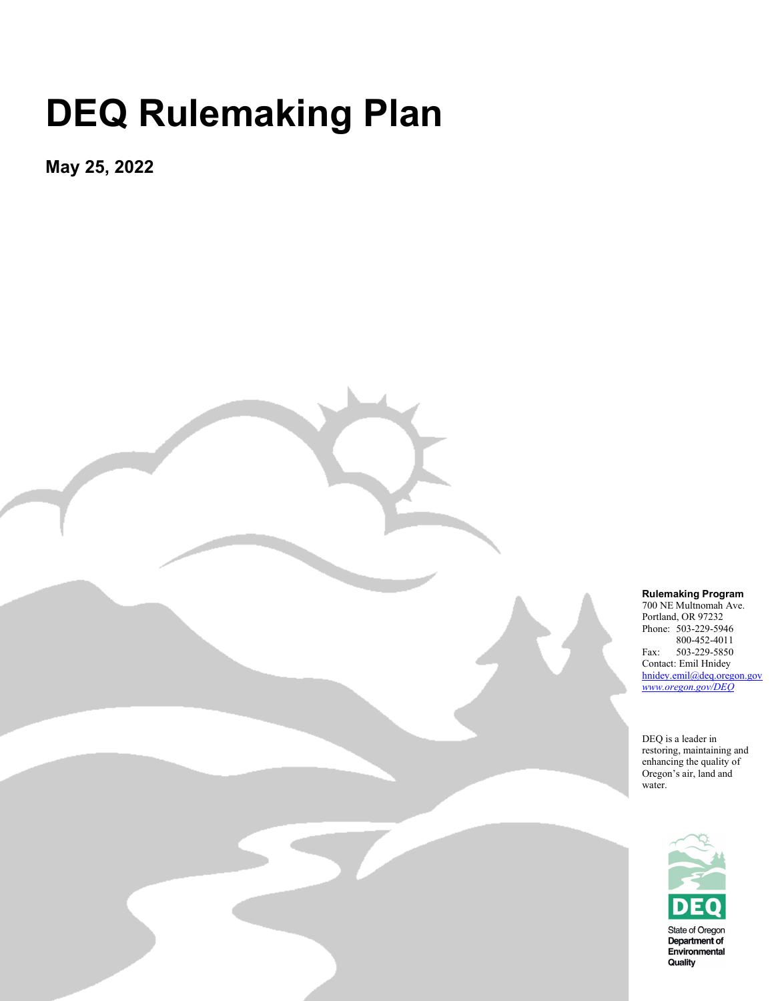## **DEQ Rulemaking Plan**

**May 25, 2022** 

Oregon Department of Environmental Quality

700 NE Multnomah Ave. Portland, OR 97232 Phone: 503-229-5946

**Rulemaking Program**

800-452-4011 Fax: 503-229-5850 Contact: Emil Hnidey hnidey.emil@deq.oregon.gov *[www.oregon.gov/DEQ](http://www.oregon.gov/DEQ)*

DEQ is a leader in restoring, maintaining and enhancing the quality of Oregon's air, land and water.

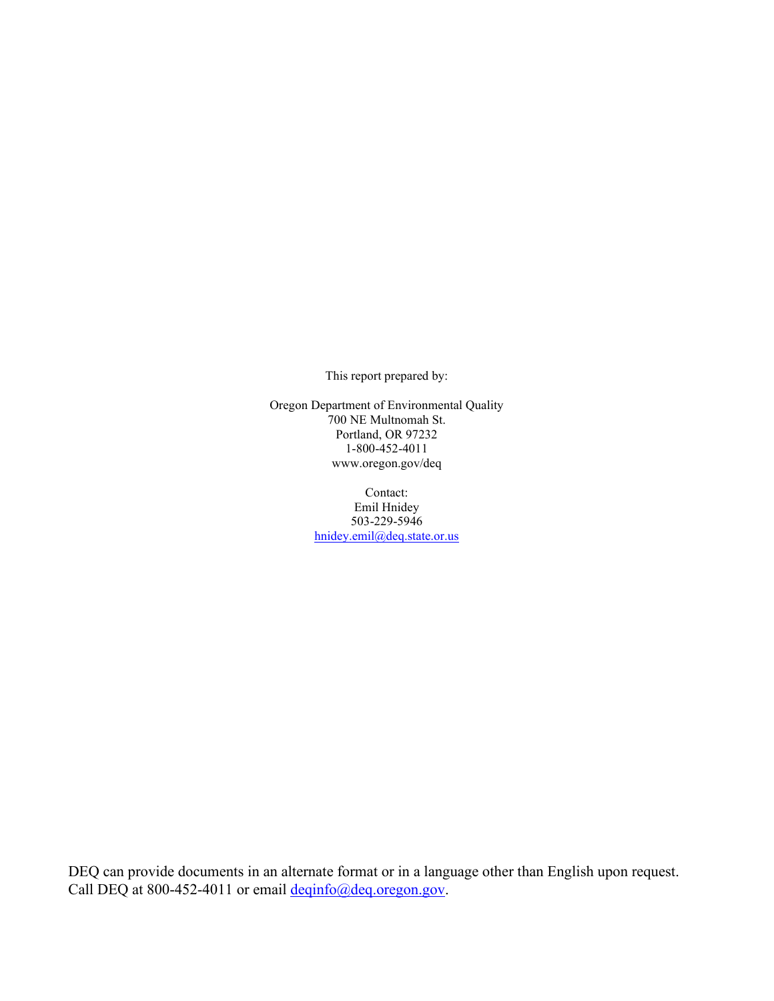This report prepared by:

Oregon Department of Environmental Quality <sup>1</sup>700 NE Multnomah St. Portland, OR 97232 1-800-452-4011 www.oregon.gov/deq

> Contact: Emil Hnidey 503-229-5946 [hnidey.emil@deq.state.or.us](mailto:hnidey.emil@deq.state.or.us)

DEQ can provide documents in an alternate format or in a language other than English upon request. Call DEQ at 800-452-4011 or email [deqinfo@deq.oregon.gov.](mailto:deqinfo@deq.oregon.gov)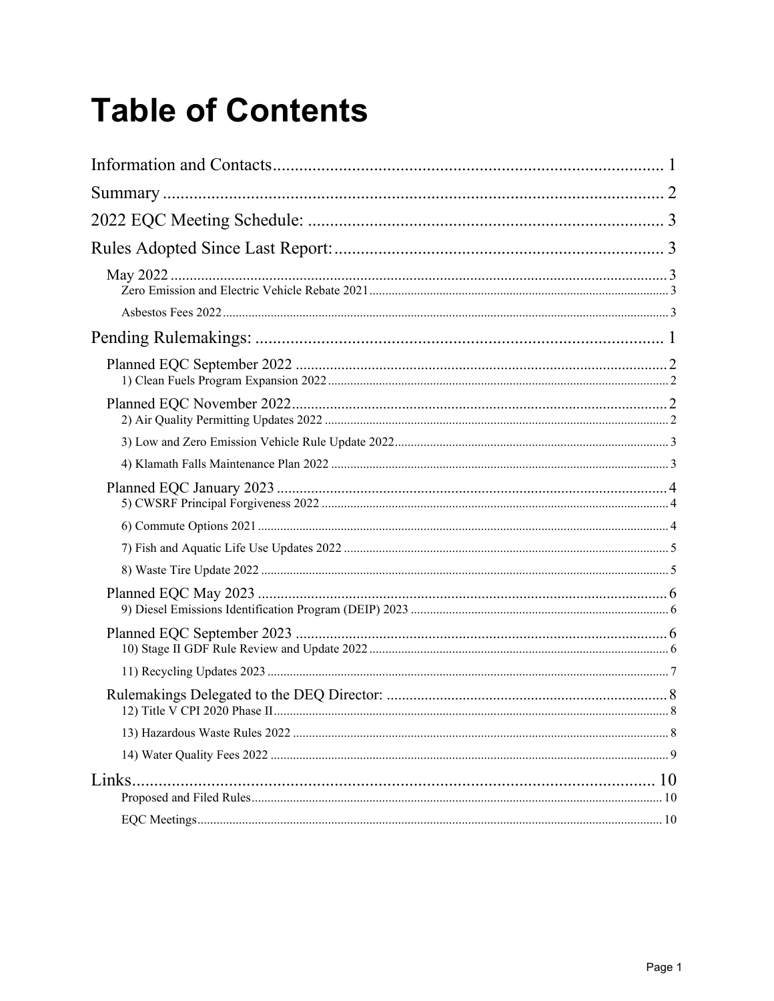## **Table of Contents**

| Links. |  |
|--------|--|
|        |  |
|        |  |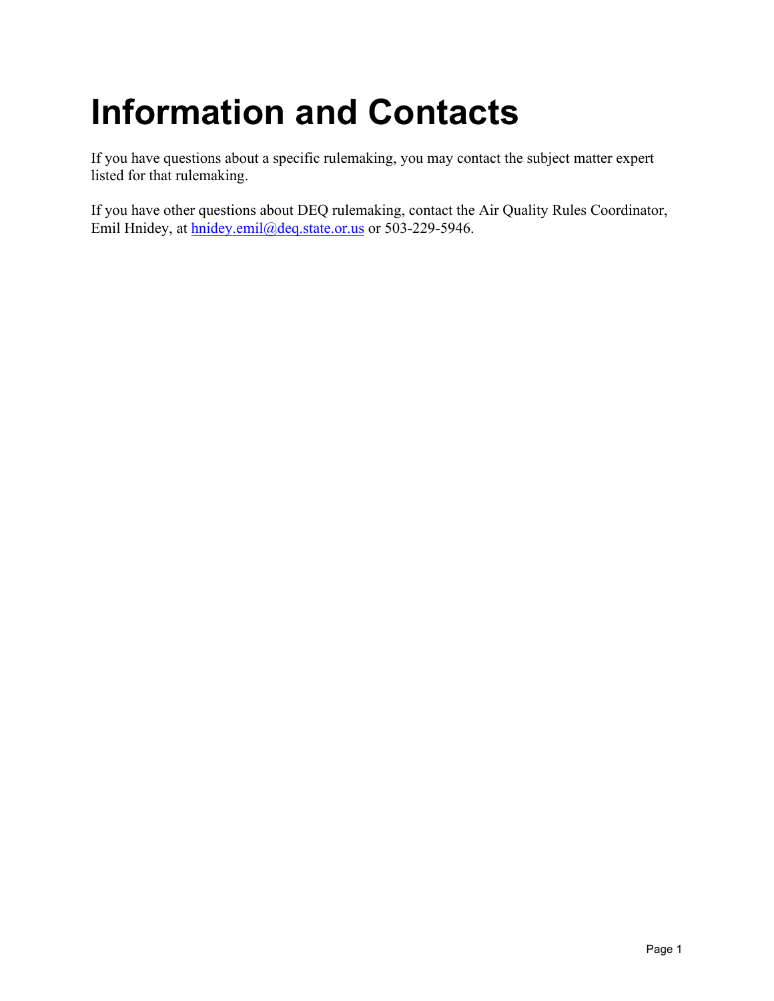## <span id="page-3-0"></span>**Information and Contacts**

If you have questions about a specific rulemaking, you may contact the subject matter expert listed for that rulemaking.

If you have other questions about DEQ rulemaking, contact the Air Quality Rules Coordinator, Emil Hnidey, at [hnidey.emil@deq.state.or.us](mailto:hnidey.emil@deq.state.or.us) or 503-229-5946.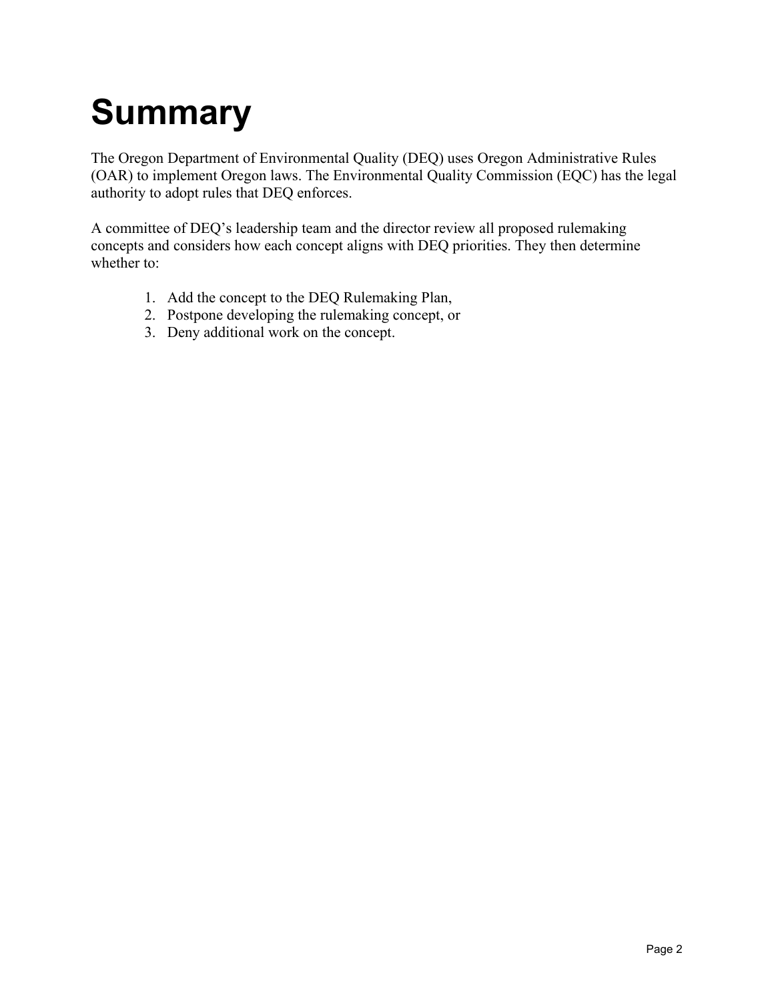## <span id="page-4-0"></span>**Summary**

The Oregon Department of Environmental Quality (DEQ) uses Oregon Administrative Rules (OAR) to implement Oregon laws. The Environmental Quality Commission (EQC) has the legal authority to adopt rules that DEQ enforces.

A committee of DEQ's leadership team and the director review all proposed rulemaking concepts and considers how each concept aligns with DEQ priorities. They then determine whether to:

- 1. Add the concept to the DEQ Rulemaking Plan,
- 2. Postpone developing the rulemaking concept, or
- 3. Deny additional work on the concept.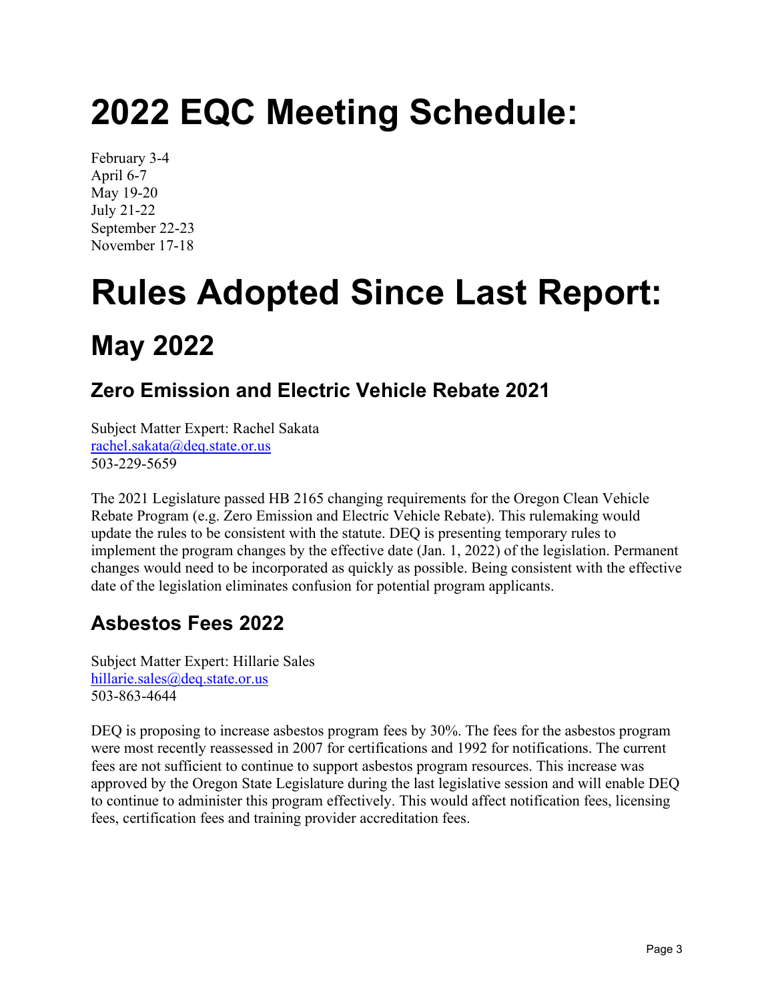## <span id="page-5-0"></span>**2022 EQC Meeting Schedule:**

February 3-4 April 6-7 May 19-20 July 21-22 September 22-23 November 17-18

# <span id="page-5-1"></span>**Rules Adopted Since Last Report: May 2022**

#### <span id="page-5-3"></span><span id="page-5-2"></span>**Zero Emission and Electric Vehicle Rebate 2021**

Subject Matter Expert: Rachel Sakata [rachel.sakata@deq.state.or.us](mailto:rachel.sakata@deq.state.or.us) 503-229-5659

The 2021 Legislature passed HB 2165 changing requirements for the Oregon Clean Vehicle Rebate Program (e.g. Zero Emission and Electric Vehicle Rebate). This rulemaking would update the rules to be consistent with the statute. DEQ is presenting temporary rules to implement the program changes by the effective date (Jan. 1, 2022) of the legislation. Permanent changes would need to be incorporated as quickly as possible. Being consistent with the effective date of the legislation eliminates confusion for potential program applicants.

### <span id="page-5-4"></span>**Asbestos Fees 2022**

Subject Matter Expert: Hillarie Sales [hillarie.sales@deq.state.or.us](mailto:hillarie.sales@deq.state.or.us) 503-863-4644

DEQ is proposing to increase asbestos program fees by 30%. The fees for the asbestos program were most recently reassessed in 2007 for certifications and 1992 for notifications. The current fees are not sufficient to continue to support asbestos program resources. This increase was approved by the Oregon State Legislature during the last legislative session and will enable DEQ to continue to administer this program effectively. This would affect notification fees, licensing fees, certification fees and training provider accreditation fees.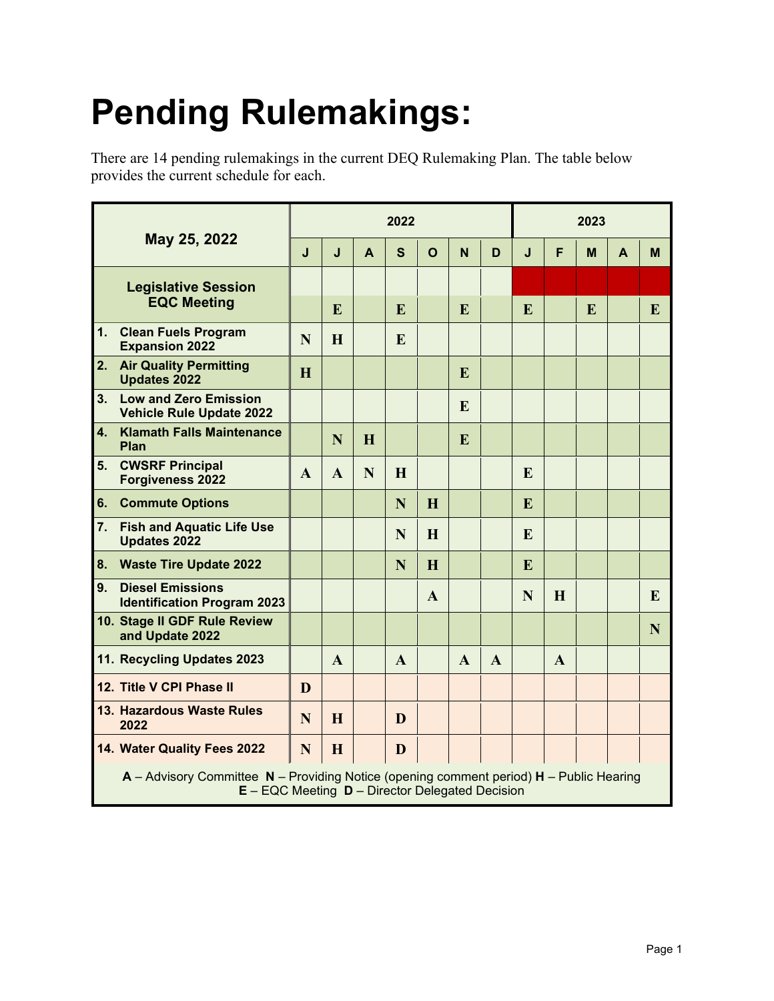## <span id="page-6-0"></span>**Pending Rulemakings:**

There are 14 pending rulemakings in the current DEQ Rulemaking Plan. The table below provides the current schedule for each.

| May 25, 2022                                                                                                                                             |              | 2022         |   |              |              |              |              |   | 2023         |   |   |   |  |
|----------------------------------------------------------------------------------------------------------------------------------------------------------|--------------|--------------|---|--------------|--------------|--------------|--------------|---|--------------|---|---|---|--|
|                                                                                                                                                          | J            | J            | A | S            | $\Omega$     | N            | D            | J | F            | M | A | M |  |
| <b>Legislative Session</b><br><b>EQC Meeting</b>                                                                                                         |              |              |   |              |              |              |              |   |              |   |   |   |  |
|                                                                                                                                                          |              | E            |   | E            |              | E            |              | E |              | E |   | E |  |
| 1.<br><b>Clean Fuels Program</b><br><b>Expansion 2022</b>                                                                                                | N            | H            |   | E            |              |              |              |   |              |   |   |   |  |
| 2.<br><b>Air Quality Permitting</b><br><b>Updates 2022</b>                                                                                               | H            |              |   |              |              | E            |              |   |              |   |   |   |  |
| 3 <sub>1</sub><br><b>Low and Zero Emission</b><br><b>Vehicle Rule Update 2022</b>                                                                        |              |              |   |              |              | E            |              |   |              |   |   |   |  |
| $\overline{4}$ .<br><b>Klamath Falls Maintenance</b><br>Plan                                                                                             |              | N            | H |              |              | E            |              |   |              |   |   |   |  |
| <b>CWSRF Principal</b><br>5.<br><b>Forgiveness 2022</b>                                                                                                  | $\mathbf{A}$ | A            | N | H            |              |              |              | E |              |   |   |   |  |
| 6.<br><b>Commute Options</b>                                                                                                                             |              |              |   | N            | H            |              |              | E |              |   |   |   |  |
| 7.<br><b>Fish and Aquatic Life Use</b><br><b>Updates 2022</b>                                                                                            |              |              |   | N            | H            |              |              | E |              |   |   |   |  |
| 8.<br><b>Waste Tire Update 2022</b>                                                                                                                      |              |              |   | N            | H            |              |              | E |              |   |   |   |  |
| 9.<br><b>Diesel Emissions</b><br><b>Identification Program 2023</b>                                                                                      |              |              |   |              | $\mathbf{A}$ |              |              | N | H            |   |   | E |  |
| 10. Stage II GDF Rule Review<br>and Update 2022                                                                                                          |              |              |   |              |              |              |              |   |              |   |   | N |  |
| 11. Recycling Updates 2023                                                                                                                               |              | $\mathbf{A}$ |   | $\mathbf{A}$ |              | $\mathbf{A}$ | $\mathbf{A}$ |   | $\mathbf{A}$ |   |   |   |  |
| 12. Title V CPI Phase II                                                                                                                                 | D            |              |   |              |              |              |              |   |              |   |   |   |  |
| 13. Hazardous Waste Rules<br>2022                                                                                                                        | N            | H            |   | D            |              |              |              |   |              |   |   |   |  |
| 14. Water Quality Fees 2022                                                                                                                              | N            | H            |   | D            |              |              |              |   |              |   |   |   |  |
| A - Advisory Committee N - Providing Notice (opening comment period) H - Public Hearing<br><b>E</b> - EQC Meeting <b>D</b> - Director Delegated Decision |              |              |   |              |              |              |              |   |              |   |   |   |  |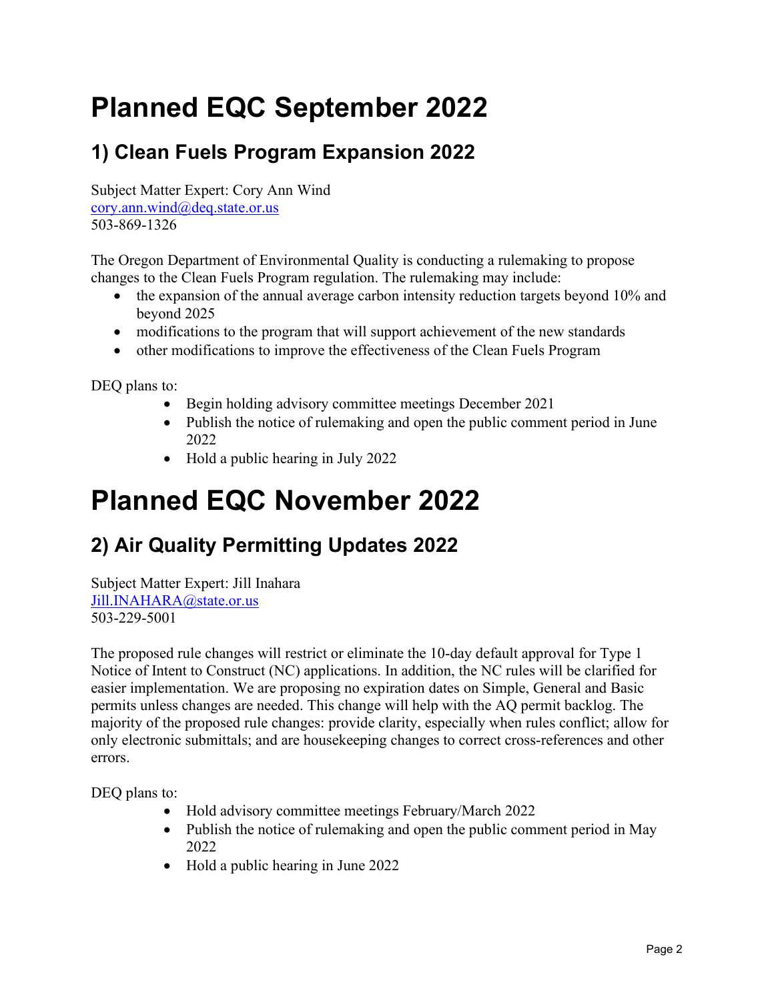### <span id="page-7-0"></span>**Planned EQC September 2022**

#### <span id="page-7-1"></span>**1) Clean Fuels Program Expansion 2022**

Subject Matter Expert: Cory Ann Wind [cory.ann.wind@deq.state.or.us](mailto:cory.ann.wind@deq.state.or.us) 503-869-1326

The Oregon Department of Environmental Quality is conducting a rulemaking to propose changes to the Clean Fuels Program regulation. The rulemaking may include:

- the expansion of the annual average carbon intensity reduction targets beyond 10% and beyond 2025
- modifications to the program that will support achievement of the new standards
- other modifications to improve the effectiveness of the Clean Fuels Program

DEQ plans to:

- Begin holding advisory committee meetings December 2021
- Publish the notice of rulemaking and open the public comment period in June 2022
- Hold a public hearing in July 2022

### <span id="page-7-2"></span>**Planned EQC November 2022**

#### <span id="page-7-3"></span>**2) Air Quality Permitting Updates 2022**

Subject Matter Expert: Jill Inahara [Jill.INAHARA@state.or.us](mailto:Jill.INAHARA@state.or.us) 503-229-5001

The proposed rule changes will restrict or eliminate the 10-day default approval for Type 1 Notice of Intent to Construct (NC) applications. In addition, the NC rules will be clarified for easier implementation. We are proposing no expiration dates on Simple, General and Basic permits unless changes are needed. This change will help with the AQ permit backlog. The majority of the proposed rule changes: provide clarity, especially when rules conflict; allow for only electronic submittals; and are housekeeping changes to correct cross-references and other errors.

- Hold advisory committee meetings February/March 2022
- Publish the notice of rulemaking and open the public comment period in May 2022
- Hold a public hearing in June 2022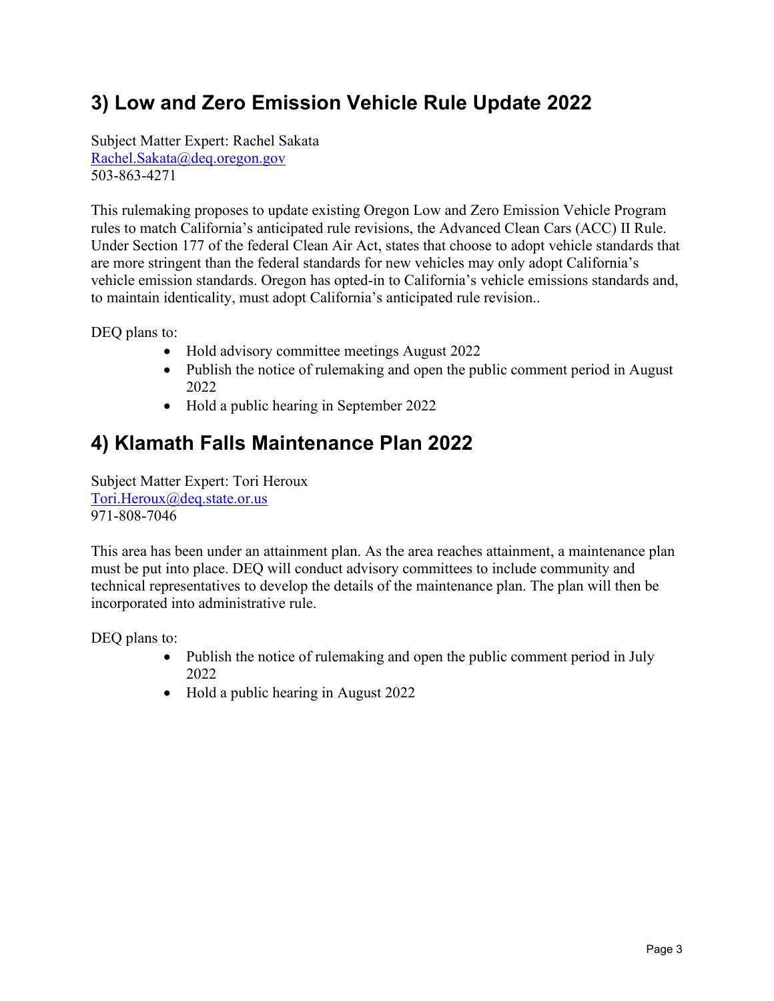#### <span id="page-8-0"></span>**3) Low and Zero Emission Vehicle Rule Update 2022**

Subject Matter Expert: Rachel Sakata [Rachel.Sakata@deq.oregon.gov](mailto:Rachel.Sakata@deq.oregon.gov) 503-863-4271

This rulemaking proposes to update existing Oregon Low and Zero Emission Vehicle Program rules to match California's anticipated rule revisions, the Advanced Clean Cars (ACC) II Rule. Under Section 177 of the federal Clean Air Act, states that choose to adopt vehicle standards that are more stringent than the federal standards for new vehicles may only adopt California's vehicle emission standards. Oregon has opted-in to California's vehicle emissions standards and, to maintain identicality, must adopt California's anticipated rule revision..

DEQ plans to:

- Hold advisory committee meetings August 2022
- Publish the notice of rulemaking and open the public comment period in August 2022
- Hold a public hearing in September 2022

#### <span id="page-8-1"></span>**4) Klamath Falls Maintenance Plan 2022**

Subject Matter Expert: Tori Heroux [Tori.Heroux@deq.state.or.us](mailto:Tori.Heroux@deq.state.or.us) 971-808-7046

This area has been under an attainment plan. As the area reaches attainment, a maintenance plan must be put into place. DEQ will conduct advisory committees to include community and technical representatives to develop the details of the maintenance plan. The plan will then be incorporated into administrative rule.

- Publish the notice of rulemaking and open the public comment period in July 2022
- Hold a public hearing in August 2022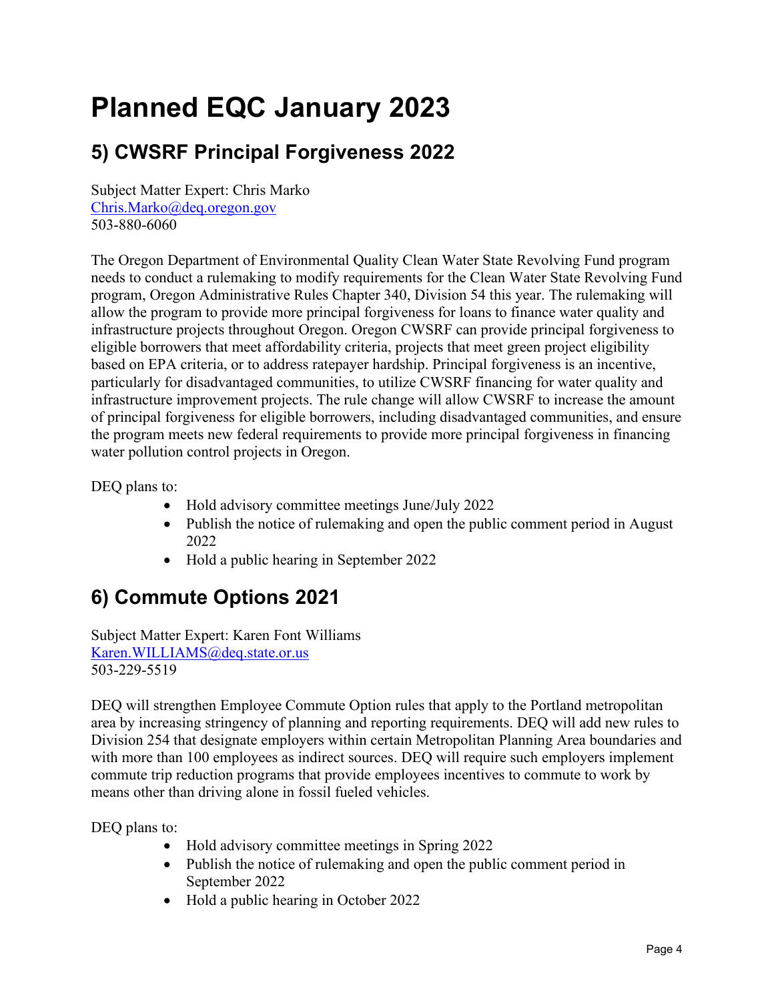## <span id="page-9-0"></span>**Planned EQC January 2023**

#### <span id="page-9-1"></span>**5) CWSRF Principal Forgiveness 2022**

Subject Matter Expert: Chris Marko [Chris.Marko@deq.oregon.gov](mailto:Chris.Marko@deq.oregon.gov)  503-880-6060

The Oregon Department of Environmental Quality Clean Water State Revolving Fund program needs to conduct a rulemaking to modify requirements for the Clean Water State Revolving Fund program, Oregon Administrative Rules Chapter 340, Division 54 this year. The rulemaking will allow the program to provide more principal forgiveness for loans to finance water quality and infrastructure projects throughout Oregon. Oregon CWSRF can provide principal forgiveness to eligible borrowers that meet affordability criteria, projects that meet green project eligibility based on EPA criteria, or to address ratepayer hardship. Principal forgiveness is an incentive, particularly for disadvantaged communities, to utilize CWSRF financing for water quality and infrastructure improvement projects. The rule change will allow CWSRF to increase the amount of principal forgiveness for eligible borrowers, including disadvantaged communities, and ensure the program meets new federal requirements to provide more principal forgiveness in financing water pollution control projects in Oregon.

DEQ plans to:

- Hold advisory committee meetings June/July 2022
- Publish the notice of rulemaking and open the public comment period in August 2022
- Hold a public hearing in September 2022

#### <span id="page-9-2"></span>**6) Commute Options 2021**

Subject Matter Expert: Karen Font Williams [Karen.WILLIAMS@deq.state.or.us](mailto:Karen.WILLIAMS@deq.state.or.us) 503-229-5519

DEQ will strengthen Employee Commute Option rules that apply to the Portland metropolitan area by increasing stringency of planning and reporting requirements. DEQ will add new rules to Division 254 that designate employers within certain Metropolitan Planning Area boundaries and with more than 100 employees as indirect sources. DEQ will require such employers implement commute trip reduction programs that provide employees incentives to commute to work by means other than driving alone in fossil fueled vehicles.

- Hold advisory committee meetings in Spring 2022
- Publish the notice of rulemaking and open the public comment period in September 2022
- Hold a public hearing in October 2022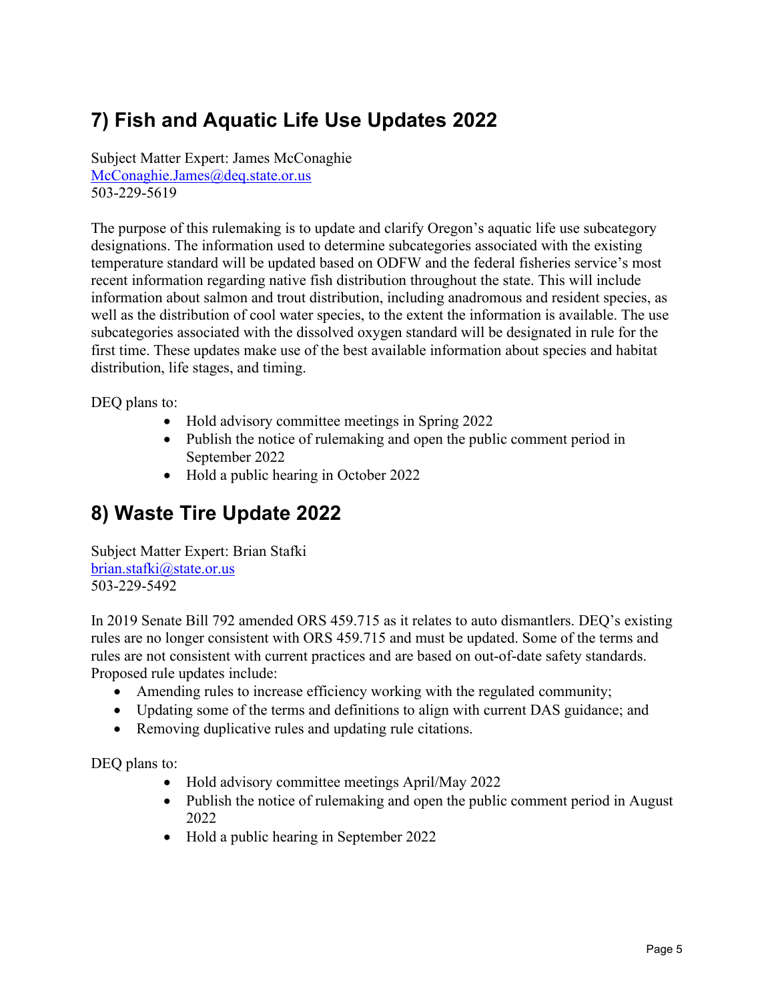#### <span id="page-10-0"></span>**7) Fish and Aquatic Life Use Updates 2022**

Subject Matter Expert: James McConaghie McConaghie.James@deq.state.or.us 503-229-5619

The purpose of this rulemaking is to update and clarify Oregon's aquatic life use subcategory designations. The information used to determine subcategories associated with the existing temperature standard will be updated based on ODFW and the federal fisheries service's most recent information regarding native fish distribution throughout the state. This will include information about salmon and trout distribution, including anadromous and resident species, as well as the distribution of cool water species, to the extent the information is available. The use subcategories associated with the dissolved oxygen standard will be designated in rule for the first time. These updates make use of the best available information about species and habitat distribution, life stages, and timing.

DEQ plans to:

- Hold advisory committee meetings in Spring 2022
- Publish the notice of rulemaking and open the public comment period in September 2022
- Hold a public hearing in October 2022

#### <span id="page-10-1"></span>**8) Waste Tire Update 2022**

Subject Matter Expert: Brian Stafki [brian.stafki@state.or.us](mailto:brian.stafki@state.or.us) 503-229-5492

In 2019 Senate Bill 792 amended ORS 459.715 as it relates to auto dismantlers. DEQ's existing rules are no longer consistent with ORS 459.715 and must be updated. Some of the terms and rules are not consistent with current practices and are based on out-of-date safety standards. Proposed rule updates include:

- Amending rules to increase efficiency working with the regulated community;
- Updating some of the terms and definitions to align with current DAS guidance; and
- Removing duplicative rules and updating rule citations.

- Hold advisory committee meetings April/May 2022
- Publish the notice of rulemaking and open the public comment period in August 2022
- Hold a public hearing in September 2022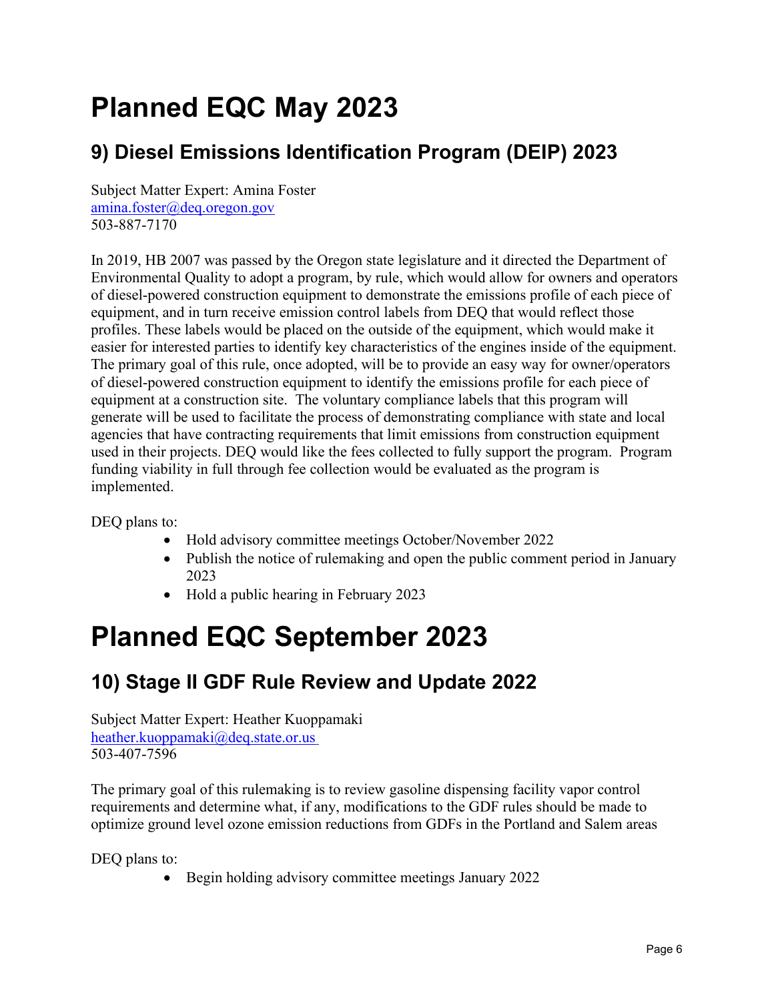### <span id="page-11-0"></span>**Planned EQC May 2023**

#### <span id="page-11-1"></span>**9) Diesel Emissions Identification Program (DEIP) 2023**

Subject Matter Expert: Amina Foster [amina.foster@deq.oregon.gov](mailto:amina.foster@deq.oregon.gov)  503-887-7170

In 2019, HB 2007 was passed by the Oregon state legislature and it directed the Department of Environmental Quality to adopt a program, by rule, which would allow for owners and operators of diesel-powered construction equipment to demonstrate the emissions profile of each piece of equipment, and in turn receive emission control labels from DEQ that would reflect those profiles. These labels would be placed on the outside of the equipment, which would make it easier for interested parties to identify key characteristics of the engines inside of the equipment. The primary goal of this rule, once adopted, will be to provide an easy way for owner/operators of diesel-powered construction equipment to identify the emissions profile for each piece of equipment at a construction site. The voluntary compliance labels that this program will generate will be used to facilitate the process of demonstrating compliance with state and local agencies that have contracting requirements that limit emissions from construction equipment used in their projects. DEQ would like the fees collected to fully support the program. Program funding viability in full through fee collection would be evaluated as the program is implemented.

DEQ plans to:

- Hold advisory committee meetings October/November 2022
- Publish the notice of rulemaking and open the public comment period in January 2023
- Hold a public hearing in February 2023

### <span id="page-11-2"></span>**Planned EQC September 2023**

#### <span id="page-11-3"></span>**10) Stage II GDF Rule Review and Update 2022**

Subject Matter Expert: Heather Kuoppamaki [heather.kuoppamaki@deq.state.or.us](mailto:heather.kuoppamaki@deq.state.or.us) 503-407-7596

The primary goal of this rulemaking is to review gasoline dispensing facility vapor control requirements and determine what, if any, modifications to the GDF rules should be made to optimize ground level ozone emission reductions from GDFs in the Portland and Salem areas

DEQ plans to:

• Begin holding advisory committee meetings January 2022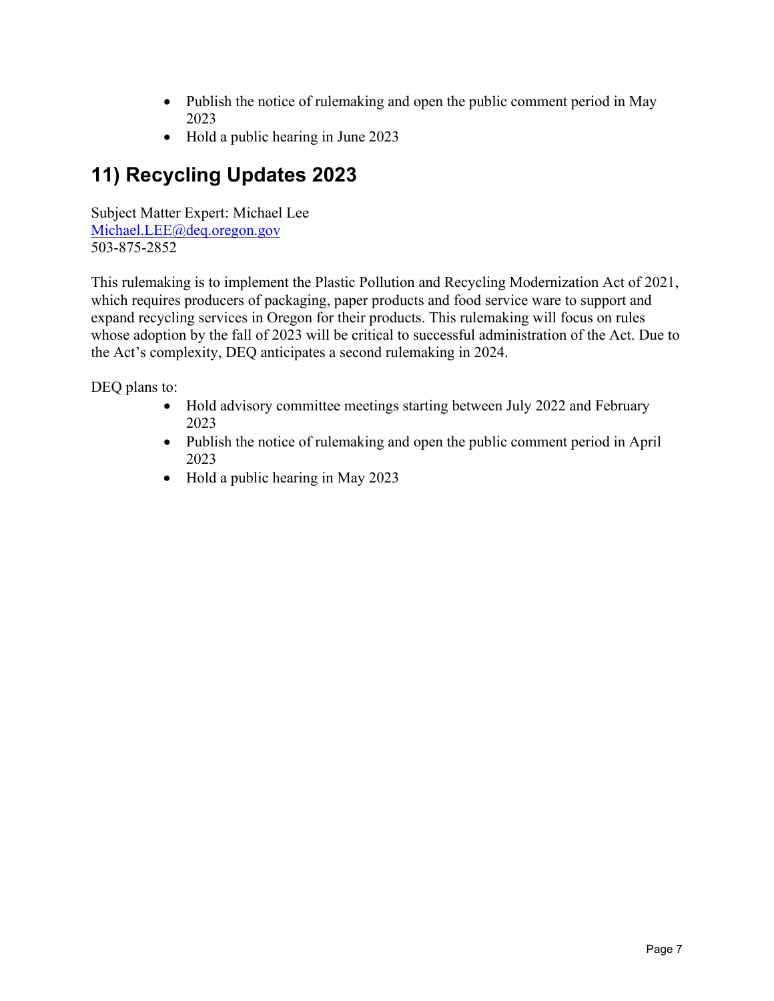- Publish the notice of rulemaking and open the public comment period in May 2023
- Hold a public hearing in June 2023

#### <span id="page-12-0"></span>**11) Recycling Updates 2023**

Subject Matter Expert: Michael Lee Michael.LEE@deq.oregon.gov 503-875-2852

This rulemaking is to implement the Plastic Pollution and Recycling Modernization Act of 2021, which requires producers of packaging, paper products and food service ware to support and expand recycling services in Oregon for their products. This rulemaking will focus on rules whose adoption by the fall of 2023 will be critical to successful administration of the Act. Due to the Act's complexity, DEQ anticipates a second rulemaking in 2024.

- Hold advisory committee meetings starting between July 2022 and February 2023
- Publish the notice of rulemaking and open the public comment period in April 2023
- Hold a public hearing in May 2023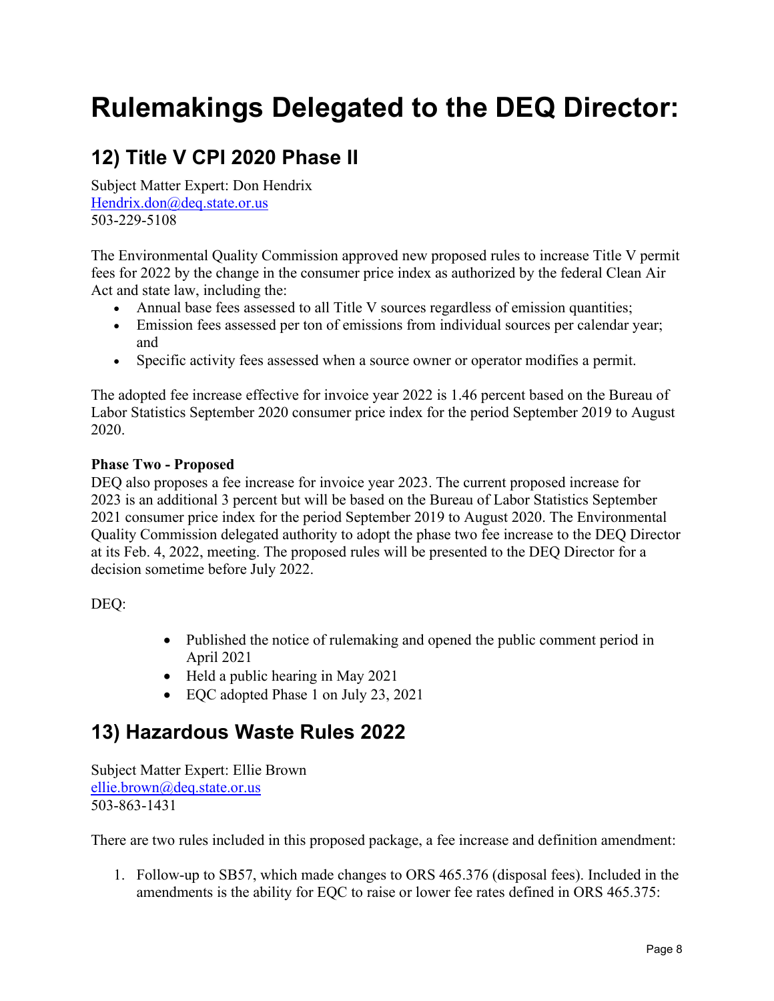### <span id="page-13-0"></span>**Rulemakings Delegated to the DEQ Director:**

#### <span id="page-13-1"></span>**12) Title V CPI 2020 Phase II**

Subject Matter Expert: Don Hendrix Hendrix.do[n@deq.state.or.us](mailto:borok.aron@deq.state.or.us) 503-229-5108

The Environmental Quality Commission approved new proposed rules to increase Title V permit fees for 2022 by the change in the consumer price index as authorized by the federal Clean Air Act and state law, including the:

- Annual base fees assessed to all Title V sources regardless of emission quantities;
- Emission fees assessed per ton of emissions from individual sources per calendar year; and
- Specific activity fees assessed when a source owner or operator modifies a permit.

The adopted fee increase effective for invoice year 2022 is 1.46 percent based on the Bureau of Labor Statistics September 2020 consumer price index for the period September 2019 to August 2020.

#### **Phase Two - Proposed**

DEQ also proposes a fee increase for invoice year 2023. The current proposed increase for 2023 is an additional 3 percent but will be based on the Bureau of Labor Statistics September 2021 consumer price index for the period September 2019 to August 2020. The Environmental Quality Commission delegated authority to adopt the phase two fee increase to the DEQ Director at its Feb. 4, 2022, meeting. The proposed rules will be presented to the DEQ Director for a decision sometime before July 2022.

DEQ:

- Published the notice of rulemaking and opened the public comment period in April 2021
- Held a public hearing in May 2021
- EQC adopted Phase 1 on July 23, 2021

#### <span id="page-13-2"></span>**13) Hazardous Waste Rules 2022**

Subject Matter Expert: Ellie Brown [ellie.brown@deq.state.or.us](mailto:ellie.brown@deq.state.or.us) 503-863-1431

There are two rules included in this proposed package, a fee increase and definition amendment:

1. Follow-up to SB57, which made changes to ORS 465.376 (disposal fees). Included in the amendments is the ability for EQC to raise or lower fee rates defined in ORS 465.375: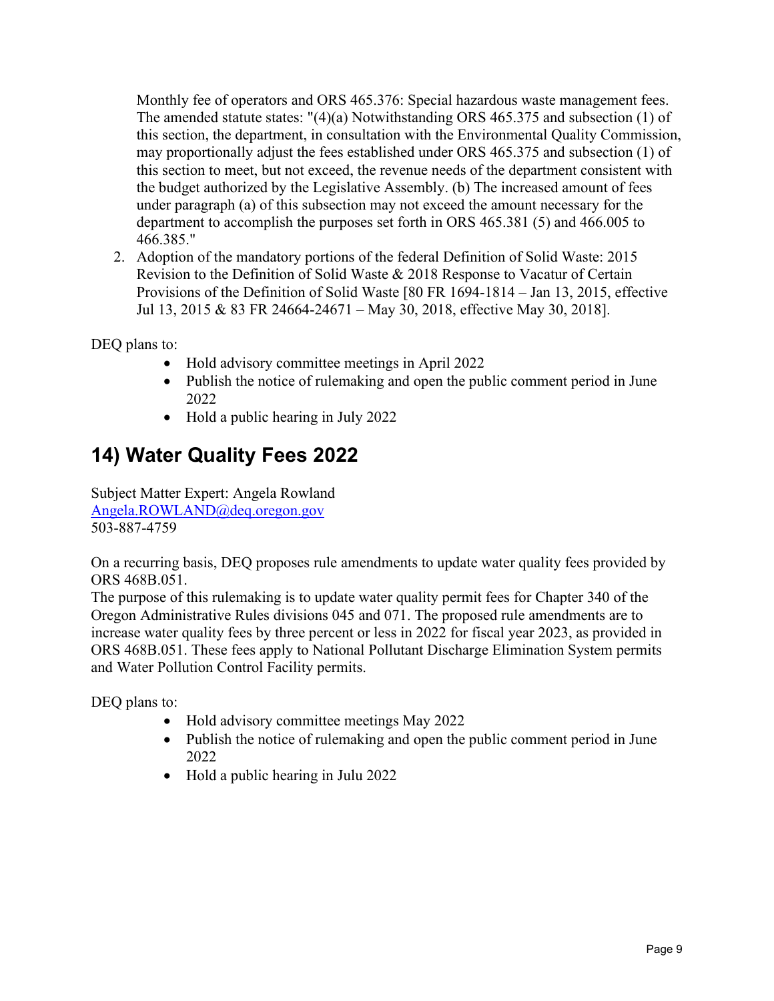Monthly fee of operators and ORS 465.376: Special hazardous waste management fees. The amended statute states: "(4)(a) Notwithstanding ORS 465.375 and subsection (1) of this section, the department, in consultation with the Environmental Quality Commission, may proportionally adjust the fees established under ORS 465.375 and subsection (1) of this section to meet, but not exceed, the revenue needs of the department consistent with the budget authorized by the Legislative Assembly. (b) The increased amount of fees under paragraph (a) of this subsection may not exceed the amount necessary for the department to accomplish the purposes set forth in ORS 465.381 (5) and 466.005 to 466.385."

2. Adoption of the mandatory portions of the federal Definition of Solid Waste: 2015 Revision to the Definition of Solid Waste & 2018 Response to Vacatur of Certain Provisions of the Definition of Solid Waste [80 FR 1694-1814 – Jan 13, 2015, effective Jul 13, 2015 & 83 FR 24664-24671 – May 30, 2018, effective May 30, 2018].

DEQ plans to:

- Hold advisory committee meetings in April 2022
- Publish the notice of rulemaking and open the public comment period in June 2022
- Hold a public hearing in July 2022

#### <span id="page-14-0"></span>**14) Water Quality Fees 2022**

Subject Matter Expert: Angela Rowland [Angela.ROWLAND@deq.oregon.gov](mailto:Angela.ROWLAND@deq.oregon.gov) 503-887-4759

On a recurring basis, DEQ proposes rule amendments to update water quality fees provided by ORS 468B.051.

The purpose of this rulemaking is to update water quality permit fees for Chapter 340 of the Oregon Administrative Rules divisions 045 and 071. The proposed rule amendments are to increase water quality fees by three percent or less in 2022 for fiscal year 2023, as provided in ORS 468B.051. These fees apply to National Pollutant Discharge Elimination System permits and Water Pollution Control Facility permits.

- Hold advisory committee meetings May 2022
- Publish the notice of rulemaking and open the public comment period in June 2022
- Hold a public hearing in Julu 2022